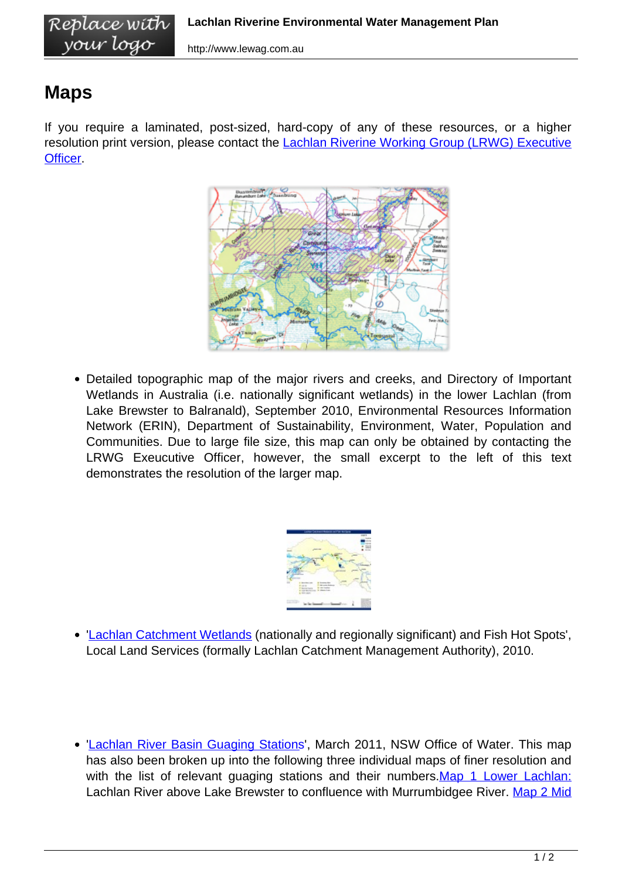## **Maps**

If you require a laminated, post-sized, hard-copy of any of these resources, or a higher resolution print version, please contact the [Lachlan Riverine Working Group \(LRWG\) Executive](http://www.lewag.com.au/contact-us-2/) [Officer.](http://www.lewag.com.au/contact-us-2/)



Detailed topographic map of the major rivers and creeks, and Directory of Important Wetlands in Australia (i.e. nationally significant wetlands) in the lower Lachlan (from Lake Brewster to Balranald), September 2010, Environmental Resources Information Network (ERIN), Department of Sustainability, Environment, Water, Population and Communities. Due to large file size, this map can only be obtained by contacting the LRWG Exeucutive Officer, however, the small excerpt to the left of this text demonstrates the resolution of the larger map.



- '[Lachlan Catchment Wetlands](http://www.lewag.com.au/wp-content/uploads/LCMA_Wetland_Fish_Hot_Spots.jpg) (nationally and regionally significant) and Fish Hot Spots', Local Land Services (formally Lachlan Catchment Management Authority), 2010.
- '[Lachlan River Basin Guaging Stations](http://www.lewag.com.au/wp-content/uploads/NoW_GuagingStations.pdf)', March 2011, NSW Office of Water. This map has also been broken up into the following three individual maps of finer resolution and with the list of relevant quaging stations and their numbers. [Map 1 Lower Lachlan:](http://www.lewag.com.au/wp-content/uploads/NoW_Guaging_Map_1.pdf) Lachlan River above Lake Brewster to confluence with Murrumbidgee River. [Map 2 Mid](http://www.lewag.com.au/wp-content/uploads/NoW_Map2_Guaging.pdf)